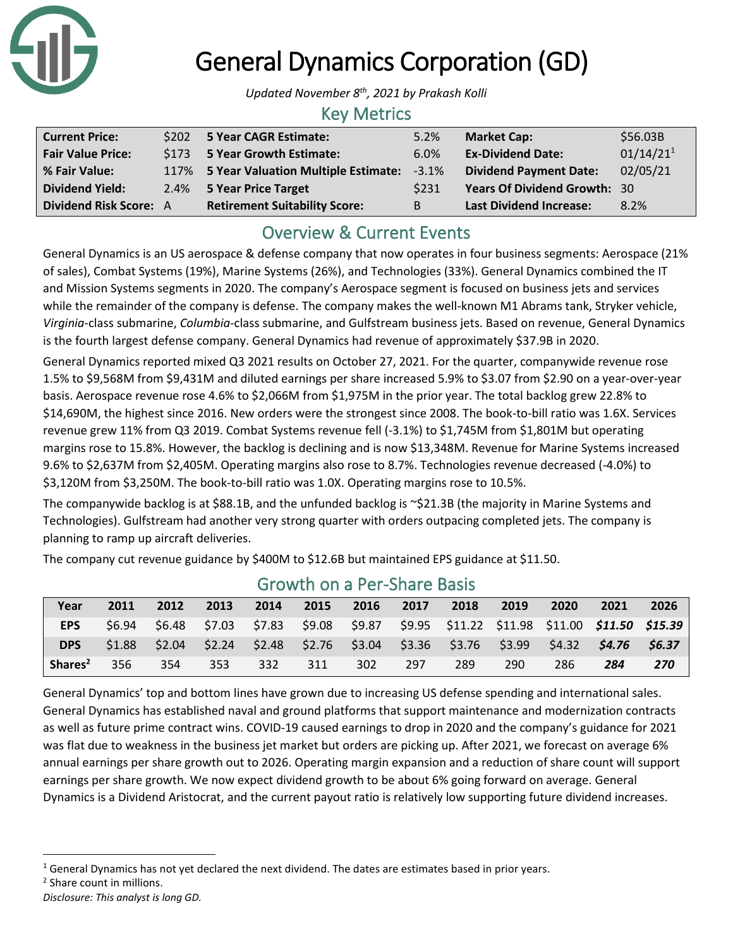

## General Dynamics Corporation (GD)

*Updated November 8th, 2021 by Prakash Kolli*

### Key Metrics

| <b>Current Price:</b>         | \$202 5 Year CAGR Estimate:              | 5.2%        | <b>Market Cap:</b>                  | \$56.03B              |
|-------------------------------|------------------------------------------|-------------|-------------------------------------|-----------------------|
| <b>Fair Value Price:</b>      | \$173 5 Year Growth Estimate:            | 6.0%        | <b>Ex-Dividend Date:</b>            | 01/14/21 <sup>1</sup> |
| % Fair Value:                 | 117% 5 Year Valuation Multiple Estimate: | $-3.1%$     | <b>Dividend Payment Date:</b>       | 02/05/21              |
| <b>Dividend Yield:</b>        | 2.4% 5 Year Price Target                 | <b>S231</b> | <b>Years Of Dividend Growth: 30</b> |                       |
| <b>Dividend Risk Score: A</b> | <b>Retirement Suitability Score:</b>     | В           | <b>Last Dividend Increase:</b>      | 8.2%                  |

## Overview & Current Events

General Dynamics is an US aerospace & defense company that now operates in four business segments: Aerospace (21% of sales), Combat Systems (19%), Marine Systems (26%), and Technologies (33%). General Dynamics combined the IT and Mission Systems segments in 2020. The company's Aerospace segment is focused on business jets and services while the remainder of the company is defense. The company makes the well-known M1 Abrams tank, Stryker vehicle, *Virginia*-class submarine, *Columbia*-class submarine, and Gulfstream business jets. Based on revenue, General Dynamics is the fourth largest defense company. General Dynamics had revenue of approximately \$37.9B in 2020.

General Dynamics reported mixed Q3 2021 results on October 27, 2021. For the quarter, companywide revenue rose 1.5% to \$9,568M from \$9,431M and diluted earnings per share increased 5.9% to \$3.07 from \$2.90 on a year-over-year basis. Aerospace revenue rose 4.6% to \$2,066M from \$1,975M in the prior year. The total backlog grew 22.8% to \$14,690M, the highest since 2016. New orders were the strongest since 2008. The book-to-bill ratio was 1.6X. Services revenue grew 11% from Q3 2019. Combat Systems revenue fell (-3.1%) to \$1,745M from \$1,801M but operating margins rose to 15.8%. However, the backlog is declining and is now \$13,348M. Revenue for Marine Systems increased 9.6% to \$2,637M from \$2,405M. Operating margins also rose to 8.7%. Technologies revenue decreased (-4.0%) to \$3,120M from \$3,250M. The book-to-bill ratio was 1.0X. Operating margins rose to 10.5%.

The companywide backlog is at \$88.1B, and the unfunded backlog is ~\$21.3B (the majority in Marine Systems and Technologies). Gulfstream had another very strong quarter with orders outpacing completed jets. The company is planning to ramp up aircraft deliveries.

The company cut revenue guidance by \$400M to \$12.6B but maintained EPS guidance at \$11.50.

| OI OWELL OIL GEL OF SHOLD DOOR |        |      |      |      |      |      |      |                                                                                                 |      |      |      |      |
|--------------------------------|--------|------|------|------|------|------|------|-------------------------------------------------------------------------------------------------|------|------|------|------|
| Year                           | 2011   | 2012 | 2013 | 2014 | 2015 | 2016 | 2017 | 2018                                                                                            | 2019 | 2020 | 2021 | 2026 |
| <b>EPS</b>                     | \$6.94 |      |      |      |      |      |      | \$6.48 \$7.03 \$7.83 \$9.08 \$9.87 \$9.95 \$11.22 \$11.98 \$11.00 <b>\$11.50 \$15.39</b>        |      |      |      |      |
| <b>DPS</b>                     |        |      |      |      |      |      |      | $$1.88$ $$2.04$ $$2.24$ $$2.48$ $$2.76$ $$3.04$ $$3.36$ $$3.76$ $$3.99$ $$4.32$ $$4.76$ $$6.37$ |      |      |      |      |
| Shares <sup>2</sup>            | 356    | 354  | 353  | 332  | 311  | 302  | -297 | 289                                                                                             | 290  | 286  | 284  | 270  |

### Growth on a Per-Share Basis

General Dynamics' top and bottom lines have grown due to increasing US defense spending and international sales. General Dynamics has established naval and ground platforms that support maintenance and modernization contracts as well as future prime contract wins. COVID-19 caused earnings to drop in 2020 and the company's guidance for 2021 was flat due to weakness in the business jet market but orders are picking up. After 2021, we forecast on average 6% annual earnings per share growth out to 2026. Operating margin expansion and a reduction of share count will support earnings per share growth. We now expect dividend growth to be about 6% going forward on average. General Dynamics is a Dividend Aristocrat, and the current payout ratio is relatively low supporting future dividend increases.

<sup>2</sup> Share count in millions.

 $1$  General Dynamics has not yet declared the next dividend. The dates are estimates based in prior years.

*Disclosure: This analyst is long GD.*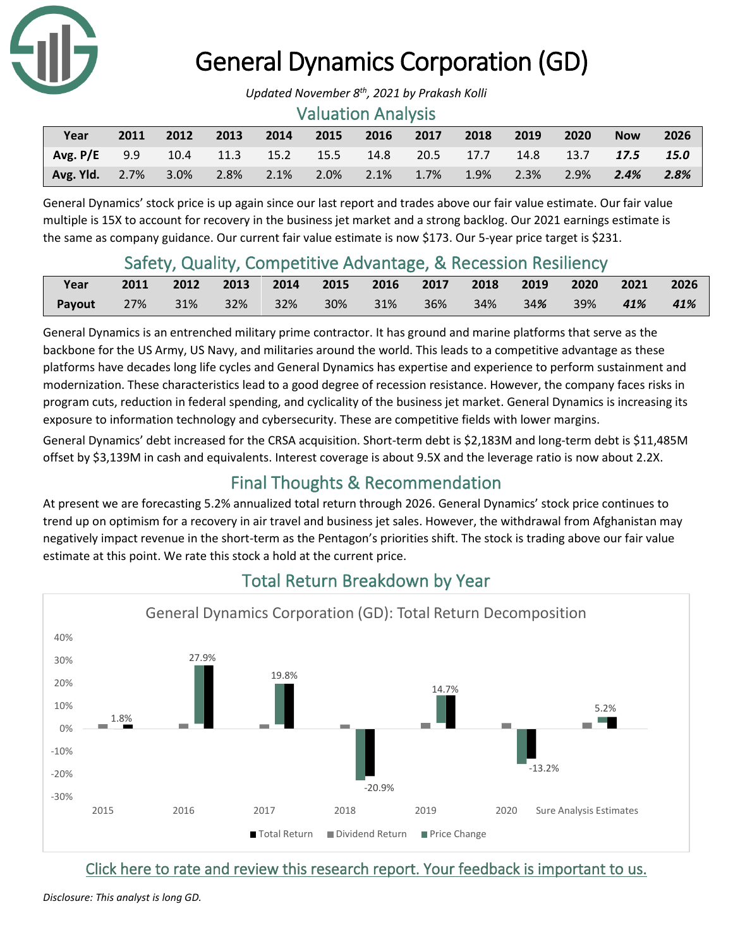

# General Dynamics Corporation (GD)

#### Valuation Analysis

| Year                  | 2011 | 2012    | 2013      | 2014 | 2015    | 2016                                                     | 2017    | 2018 | 2019    | 2020    | <b>Now</b> | 2026 |
|-----------------------|------|---------|-----------|------|---------|----------------------------------------------------------|---------|------|---------|---------|------------|------|
| Avg. $P/E$ 9.9        |      |         |           |      |         | 10.4 11.3 15.2 15.5 14.8 20.5 17.7 14.8 13.7 <b>17.5</b> |         |      |         |         |            | 15.0 |
| <b>Avg. Yld.</b> 2.7% |      | $3.0\%$ | 2.8% 2.1% |      | $2.0\%$ | 2.1%                                                     | $1.7\%$ | 1.9% | $2.3\%$ | $2.9\%$ | 2.4%       | 2.8% |

General Dynamics' stock price is up again since our last report and trades above our fair value estimate. Our fair value multiple is 15X to account for recovery in the business jet market and a strong backlog. Our 2021 earnings estimate is the same as company guidance. Our current fair value estimate is now \$173. Our 5-year price target is \$231.

## Safety, Quality, Competitive Advantage, & Recession Resiliency

| Year                                                                  | 2011 2012 2013 2014 2015 2016 2017 2018 2019 2020 2021 2026 |  |  |  |  |  |
|-----------------------------------------------------------------------|-------------------------------------------------------------|--|--|--|--|--|
| Payout 27% 31% 32% 32% 30% 31% 36% 34% 34 <b>%</b> 39% <b>41% 41%</b> |                                                             |  |  |  |  |  |

General Dynamics is an entrenched military prime contractor. It has ground and marine platforms that serve as the backbone for the US Army, US Navy, and militaries around the world. This leads to a competitive advantage as these platforms have decades long life cycles and General Dynamics has expertise and experience to perform sustainment and modernization. These characteristics lead to a good degree of recession resistance. However, the company faces risks in program cuts, reduction in federal spending, and cyclicality of the business jet market. General Dynamics is increasing its exposure to information technology and cybersecurity. These are competitive fields with lower margins.

General Dynamics' debt increased for the CRSA acquisition. Short-term debt is \$2,183M and long-term debt is \$11,485M offset by \$3,139M in cash and equivalents. Interest coverage is about 9.5X and the leverage ratio is now about 2.2X.

## Final Thoughts & Recommendation

At present we are forecasting 5.2% annualized total return through 2026. General Dynamics' stock price continues to trend up on optimism for a recovery in air travel and business jet sales. However, the withdrawal from Afghanistan may negatively impact revenue in the short-term as the Pentagon's priorities shift. The stock is trading above our fair value estimate at this point. We rate this stock a hold at the current price.



## Total Return Breakdown by Year

[Click here to rate and review this research report. Your feedback is important to us.](https://na01.safelinks.protection.outlook.com/?url=https%3A%2F%2Fsuredividend.typeform.com%2Fto%2FDxzcqv&data=04%7C01%7C%7C6844c7e3babe4948edb608d95a098dce%7C84df9e7fe9f640afb435aaaaaaaaaaaa%7C1%7C0%7C637639819352648652%7CUnknown%7CTWFpbGZsb3d8eyJWIjoiMC4wLjAwMDAiLCJQIjoiV2luMzIiLCJBTiI6Ik1haWwiLCJXVCI6Mn0%3D%7C1000&sdata=Az0BUfC8czZfmrzJQ6cffkjYs77atqAPpzM0C%2FOLATw%3D&reserved=0)

*Updated November 8th, 2021 by Prakash Kolli*